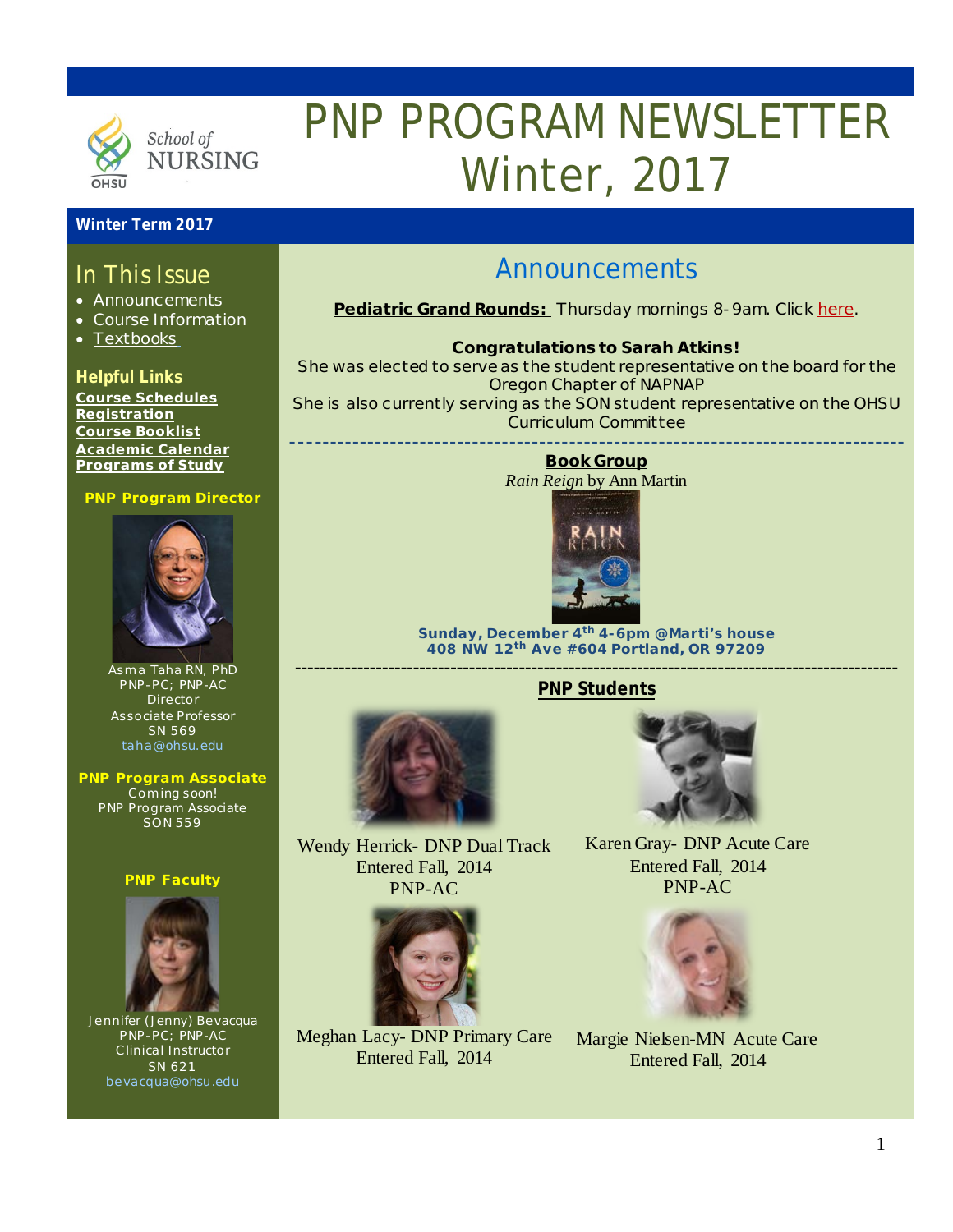

# PNP PROGRAM NEWSLETTER Winter, 2017

#### **Winter Term 2017**

### In This Issue

- Announcements
- Course Information
- [Textbooks](http://libguides.ohsu.edu/c.php?g=373474&p=2524652)

#### **Helpful Links**

**[Course Schedules](http://www.ohsu.edu/xd/education/schools/school-of-nursing/students/academic-affairs/course-schedule.cfm) [Registration](http://www.ohsu.edu/xd/education/schools/school-of-nursing/students/registration_records.cfm) Course Booklist [Academic Calendar](http://www.ohsu.edu/xd/education/student-services/registrar/registrar-forms/index.cfm) [Programs of Study](http://www.ohsu.edu/xd/education/schools/school-of-nursing/programs/programs-of-study-page.cfm?WT_rank=1)**

#### **PNP Program Director**



Asma Taha RN, PhD PNP-PC; PNP-AC Director Associate Professor SN 569 [taha@ohsu.edu](mailto:taha@ohsu.edu)

**PNP Program Associate** Coming soon! PNP Program Associate SON 559

#### **PNP Faculty**



Jennifer (Jenny) Bevacqua PNP-PC; PNP-AC Clinical Instructor SN 621 [bevacqua@ohsu.edu](mailto:bevacqua@ohsu.edu)

## Announcements

**Pediatric Grand Rounds:** Thursday mornings 8-9am. Click [here.](http://www.ohsu.edu/xd/health/services/doernbecher/healthcare-professionals/continuing-education/grand-rounds-schedule/calendar.cfm)

#### **Congratulations to Sarah Atkins!**

She was elected to serve as the student representative on the board for the Oregon Chapter of NAPNAP

She is also currently serving as the SON student representative on the OHSU Curriculum Committee **----------------------------------------------------------------------------------**

#### **Book Group**

*Rain Reign* [by Ann M](http://madison.campusguides.com/gomperslmc)artin



**Sunday, December 4th 4-6pm @Marti's house 408 NW 12th Ave #604 Portland, OR 97209** -------------------------------------------------------------------------------------------------

**PNP Students**





Wendy Herrick- DNP Dual Track Entered Fall, 2014 PNP-AC



Meghan Lacy- DNP Primary Care Entered Fall, 2014

Karen Gray- DNP Acute Care Entered Fall, 2014 PNP-AC



Margie Nielsen-MN Acute Care Entered Fall, 2014